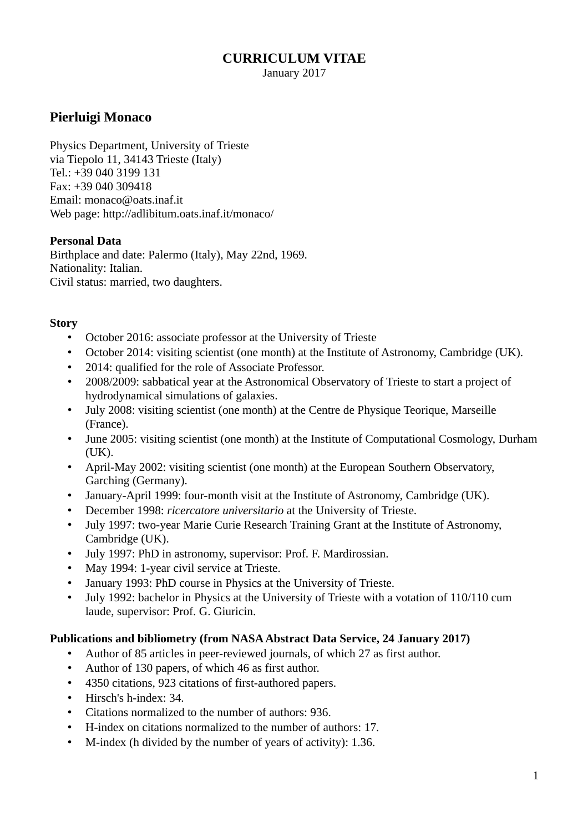### **CURRICULUM VITAE**

January 2017

# **Pierluigi Monaco**

Physics Department, University of Trieste via Tiepolo 11, 34143 Trieste (Italy) Tel.: +39 040 3199 131 Fax: +39 040 309418 Email: monaco@oats.inaf.it Web page: http://adlibitum.oats.inaf.it/monaco/

#### **Personal Data**

Birthplace and date: Palermo (Italy), May 22nd, 1969. Nationality: Italian. Civil status: married, two daughters.

#### **Story**

- October 2016: associate professor at the University of Trieste
- October 2014: visiting scientist (one month) at the Institute of Astronomy, Cambridge (UK).
- 2014: qualified for the role of Associate Professor.
- 2008/2009: sabbatical year at the Astronomical Observatory of Trieste to start a project of hydrodynamical simulations of galaxies.
- July 2008: visiting scientist (one month) at the Centre de Physique Teorique, Marseille (France).
- June 2005: visiting scientist (one month) at the Institute of Computational Cosmology, Durham (UK).
- April-May 2002: visiting scientist (one month) at the European Southern Observatory, Garching (Germany).
- January-April 1999: four-month visit at the Institute of Astronomy, Cambridge (UK).
- December 1998: *ricercatore universitario* at the University of Trieste.
- July 1997: two-year Marie Curie Research Training Grant at the Institute of Astronomy, Cambridge (UK).
- July 1997: PhD in astronomy, supervisor: Prof. F. Mardirossian.
- May 1994: 1-year civil service at Trieste.
- January 1993: PhD course in Physics at the University of Trieste.
- July 1992: bachelor in Physics at the University of Trieste with a votation of 110/110 cum laude, supervisor: Prof. G. Giuricin.

#### **Publications and bibliometry (from NASA Abstract Data Service, 24 January 2017)**

- Author of 85 articles in peer-reviewed journals, of which 27 as first author.
- Author of 130 papers, of which 46 as first author.
- 4350 citations, 923 citations of first-authored papers.
- Hirsch's h-index: 34.
- Citations normalized to the number of authors: 936.
- H-index on citations normalized to the number of authors: 17.
- M-index (h divided by the number of years of activity): 1.36.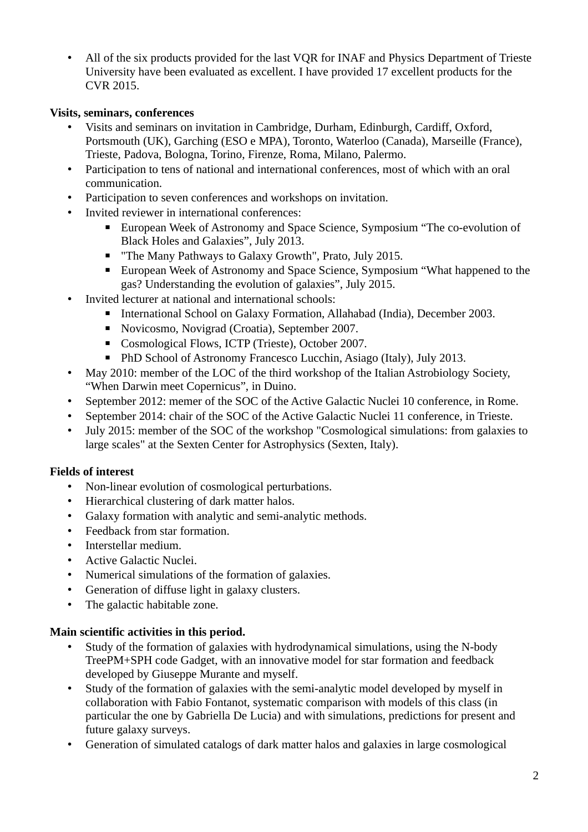• All of the six products provided for the last VQR for INAF and Physics Department of Trieste University have been evaluated as excellent. I have provided 17 excellent products for the CVR 2015.

#### **Visits, seminars, conferences**

- Visits and seminars on invitation in Cambridge, Durham, Edinburgh, Cardiff, Oxford, Portsmouth (UK), Garching (ESO e MPA), Toronto, Waterloo (Canada), Marseille (France), Trieste, Padova, Bologna, Torino, Firenze, Roma, Milano, Palermo.
- Participation to tens of national and international conferences, most of which with an oral communication.
- Participation to seven conferences and workshops on invitation.
- Invited reviewer in international conferences:
	- European Week of Astronomy and Space Science, Symposium "The co-evolution of Black Holes and Galaxies", July 2013.
	- "The Many Pathways to Galaxy Growth", Prato, July 2015.
	- European Week of Astronomy and Space Science, Symposium "What happened to the gas? Understanding the evolution of galaxies", July 2015.
- Invited lecturer at national and international schools:
	- International School on Galaxy Formation, Allahabad (India), December 2003.
	- Novicosmo, Novigrad (Croatia), September 2007.
	- Cosmological Flows, ICTP (Trieste), October 2007.
	- PhD School of Astronomy Francesco Lucchin, Asiago (Italy), July 2013.
- May 2010: member of the LOC of the third workshop of the Italian Astrobiology Society, "When Darwin meet Copernicus", in Duino.
- September 2012: memer of the SOC of the Active Galactic Nuclei 10 conference, in Rome.
- September 2014: chair of the SOC of the Active Galactic Nuclei 11 conference, in Trieste.
- July 2015: member of the SOC of the workshop "Cosmological simulations: from galaxies to large scales" at the Sexten Center for Astrophysics (Sexten, Italy).

### **Fields of interest**

- Non-linear evolution of cosmological perturbations.
- Hierarchical clustering of dark matter halos.
- Galaxy formation with analytic and semi-analytic methods.
- Feedback from star formation.
- Interstellar medium.
- Active Galactic Nuclei.
- Numerical simulations of the formation of galaxies.
- Generation of diffuse light in galaxy clusters.
- The galactic habitable zone.

#### **Main scientific activities in this period.**

- Study of the formation of galaxies with hydrodynamical simulations, using the N-body TreePM+SPH code Gadget, with an innovative model for star formation and feedback developed by Giuseppe Murante and myself.
- Study of the formation of galaxies with the semi-analytic model developed by myself in collaboration with Fabio Fontanot, systematic comparison with models of this class (in particular the one by Gabriella De Lucia) and with simulations, predictions for present and future galaxy surveys.
- Generation of simulated catalogs of dark matter halos and galaxies in large cosmological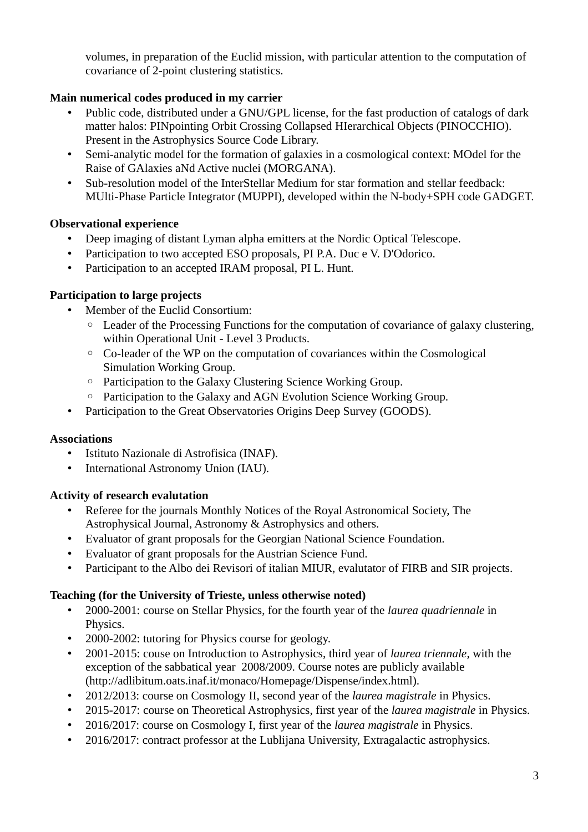volumes, in preparation of the Euclid mission, with particular attention to the computation of covariance of 2-point clustering statistics.

### **Main numerical codes produced in my carrier**

- Public code, distributed under a GNU/GPL license, for the fast production of catalogs of dark matter halos: PINpointing Orbit Crossing Collapsed HIerarchical Objects (PINOCCHIO). Present in the Astrophysics Source Code Library.
- Semi-analytic model for the formation of galaxies in a cosmological context: MOdel for the Raise of GAlaxies aNd Active nuclei (MORGANA).
- Sub-resolution model of the InterStellar Medium for star formation and stellar feedback: MUlti-Phase Particle Integrator (MUPPI), developed within the N-body+SPH code GADGET.

### **Observational experience**

- Deep imaging of distant Lyman alpha emitters at the Nordic Optical Telescope.
- Participation to two accepted ESO proposals, PI P.A. Duc e V. D'Odorico.
- Participation to an accepted IRAM proposal, PI L. Hunt.

### **Participation to large projects**

- Member of the Euclid Consortium:
	- Leader of the Processing Functions for the computation of covariance of galaxy clustering, within Operational Unit - Level 3 Products.
	- Co-leader of the WP on the computation of covariances within the Cosmological Simulation Working Group.
	- Participation to the Galaxy Clustering Science Working Group.
	- Participation to the Galaxy and AGN Evolution Science Working Group.
- Participation to the Great Observatories Origins Deep Survey (GOODS).

### **Associations**

- Istituto Nazionale di Astrofisica (INAF).
- International Astronomy Union (IAU).

### **Activity of research evalutation**

- Referee for the journals Monthly Notices of the Royal Astronomical Society, The Astrophysical Journal, Astronomy & Astrophysics and others.
- Evaluator of grant proposals for the Georgian National Science Foundation.
- Evaluator of grant proposals for the Austrian Science Fund.
- Participant to the Albo dei Revisori of italian MIUR, evalutator of FIRB and SIR projects.

## **Teaching (for the University of Trieste, unless otherwise noted)**

- 2000-2001: course on Stellar Physics, for the fourth year of the *laurea quadriennale* in Physics.
- 2000-2002: tutoring for Physics course for geology.
- 2001-2015: couse on Introduction to Astrophysics, third year of *laurea triennale*, with the exception of the sabbatical year 2008/2009. Course notes are publicly available (http://adlibitum.oats.inaf.it/monaco/Homepage/Dispense/index.html).
- 2012/2013: course on Cosmology II, second year of the *laurea magistrale* in Physics.
- 2015-2017: course on Theoretical Astrophysics, first year of the *laurea magistrale* in Physics.
- 2016/2017: course on Cosmology I, first year of the *laurea magistrale* in Physics.
- 2016/2017: contract professor at the Lublijana University, Extragalactic astrophysics.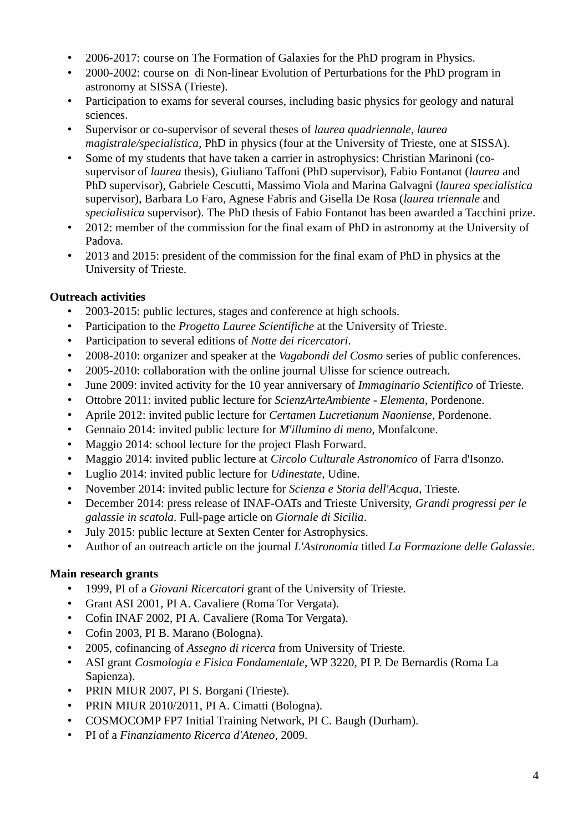- 2006-2017: course on The Formation of Galaxies for the PhD program in Physics.
- 2000-2002: course on di Non-linear Evolution of Perturbations for the PhD program in astronomy at SISSA (Trieste).
- Participation to exams for several courses, including basic physics for geology and natural sciences.
- Supervisor or co-supervisor of several theses of *laurea quadriennale*, *laurea magistrale/specialistica*, PhD in physics (four at the University of Trieste, one at SISSA).
- Some of my students that have taken a carrier in astrophysics: Christian Marinoni (cosupervisor of *laurea* thesis), Giuliano Taffoni (PhD supervisor), Fabio Fontanot (*laurea* and PhD supervisor), Gabriele Cescutti, Massimo Viola and Marina Galvagni (*laurea specialistica* supervisor), Barbara Lo Faro, Agnese Fabris and Gisella De Rosa (*laurea triennale* and *specialistica* supervisor). The PhD thesis of Fabio Fontanot has been awarded a Tacchini prize.
- 2012: member of the commission for the final exam of PhD in astronomy at the University of Padova.
- 2013 and 2015: president of the commission for the final exam of PhD in physics at the University of Trieste.

### **Outreach activities**

- 2003-2015: public lectures, stages and conference at high schools.
- Participation to the *Progetto Lauree Scientifiche* at the University of Trieste.
- Participation to several editions of *Notte dei ricercatori*.
- 2008-2010: organizer and speaker at the *Vagabondi del Cosmo* series of public conferences.
- 2005-2010: collaboration with the online journal Ulisse for science outreach.
- June 2009: invited activity for the 10 year anniversary of *Immaginario Scientifico* of Trieste.
- Ottobre 2011: invited public lecture for *ScienzArteAmbiente Elementa*, Pordenone.
- Aprile 2012: invited public lecture for *Certamen Lucretianum Naoniense*, Pordenone.
- Gennaio 2014: invited public lecture for *M'illumino di meno*, Monfalcone.
- Maggio 2014: school lecture for the project Flash Forward.
- Maggio 2014: invited public lecture at *Circolo Culturale Astronomico* of Farra d'Isonzo.
- Luglio 2014: invited public lecture for *Udinestate,* Udine.
- November 2014: invited public lecture for *Scienza e Storia dell'Acqua*, Trieste.
- December 2014: press release of INAF-OATs and Trieste University, *Grandi progressi per le galassie in scatola*. Full-page article on *Giornale di Sicilia*.
- July 2015: public lecture at Sexten Center for Astrophysics.
- Author of an outreach article on the journal *L'Astronomia* titled *La Formazione delle Galassie*.

### **Main research grants**

- 1999, PI of a *Giovani Ricercatori* grant of the University of Trieste.
- Grant ASI 2001, PI A. Cavaliere (Roma Tor Vergata).
- Cofin INAF 2002, PI A. Cavaliere (Roma Tor Vergata).
- Cofin 2003, PI B. Marano (Bologna).
- 2005, cofinancing of *Assegno di ricerca* from University of Trieste.
- ASI grant *Cosmologia e Fisica Fondamentale*, WP 3220, PI P. De Bernardis (Roma La Sapienza).
- PRIN MIUR 2007, PI S. Borgani (Trieste).
- PRIN MIUR 2010/2011, PI A. Cimatti (Bologna).
- COSMOCOMP FP7 Initial Training Network, PI C. Baugh (Durham).
- PI of a *Finanziamento Ricerca d'Ateneo*, 2009.